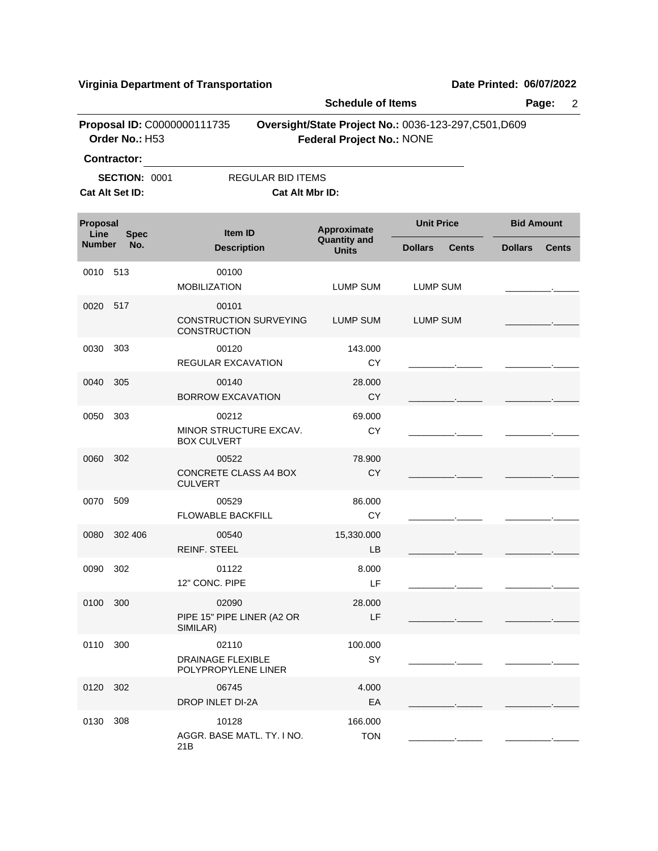|                  |                                         |                                                          | <b>Schedule of Items</b>            |                                                       | Page:<br>$\overline{2}$        |
|------------------|-----------------------------------------|----------------------------------------------------------|-------------------------------------|-------------------------------------------------------|--------------------------------|
|                  | Order No.: H53<br><b>Contractor:</b>    | Proposal ID: C0000000111735                              | <b>Federal Project No.: NONE</b>    | Oversight/State Project No.: 0036-123-297, C501, D609 |                                |
|                  | <b>SECTION: 0001</b><br>Cat Alt Set ID: | <b>REGULAR BID ITEMS</b><br>Cat Alt Mbr ID:              |                                     |                                                       |                                |
| Proposal<br>Line | <b>Spec</b>                             | Item ID                                                  | Approximate                         | <b>Unit Price</b>                                     | <b>Bid Amount</b>              |
| <b>Number</b>    | No.                                     | <b>Description</b>                                       | <b>Quantity and</b><br><b>Units</b> | <b>Dollars</b><br>Cents                               | <b>Dollars</b><br><b>Cents</b> |
| 0010             | 513                                     | 00100<br><b>MOBILIZATION</b>                             | <b>LUMP SUM</b>                     | <b>LUMP SUM</b>                                       |                                |
| 0020             | 517                                     | 00101<br><b>CONSTRUCTION SURVEYING</b><br>CONSTRUCTION   | <b>LUMP SUM</b>                     | <b>LUMP SUM</b>                                       |                                |
| 0030             | 303                                     | 00120<br>REGULAR EXCAVATION                              | 143.000<br>CY                       |                                                       |                                |
| 0040             | 305                                     | 00140<br><b>BORROW EXCAVATION</b>                        | 28.000<br><b>CY</b>                 |                                                       |                                |
| 0050             | 303                                     | 00212<br>MINOR STRUCTURE EXCAV.<br><b>BOX CULVERT</b>    | 69.000<br>CY                        |                                                       |                                |
| 0060             | 302                                     | 00522<br>CONCRETE CLASS A4 BOX<br><b>CULVERT</b>         | 78.900<br><b>CY</b>                 |                                                       |                                |
| 0070             | 509                                     | 00529<br><b>FLOWABLE BACKFILL</b>                        | 86.000<br>CY                        |                                                       |                                |
| 0080             | 302 406                                 | 00540<br><b>REINF. STEEL</b>                             | 15,330.000<br>LB                    |                                                       |                                |
| 0090             | 302                                     | 01122<br>12" CONC. PIPE                                  | 8.000<br>LF                         |                                                       |                                |
| 0100 300         |                                         | 02090<br>PIPE 15" PIPE LINER (A2 OR<br>SIMILAR)          | 28.000<br>LF                        |                                                       |                                |
| 0110             | 300                                     | 02110<br><b>DRAINAGE FLEXIBLE</b><br>POLYPROPYLENE LINER | 100.000<br>SY                       |                                                       |                                |
| 0120             | 302                                     | 06745<br>DROP INLET DI-2A                                | 4.000<br>EA                         |                                                       |                                |
| 0130             | 308                                     | 10128<br>AGGR. BASE MATL. TY. I NO.<br>21B               | 166.000<br><b>TON</b>               |                                                       |                                |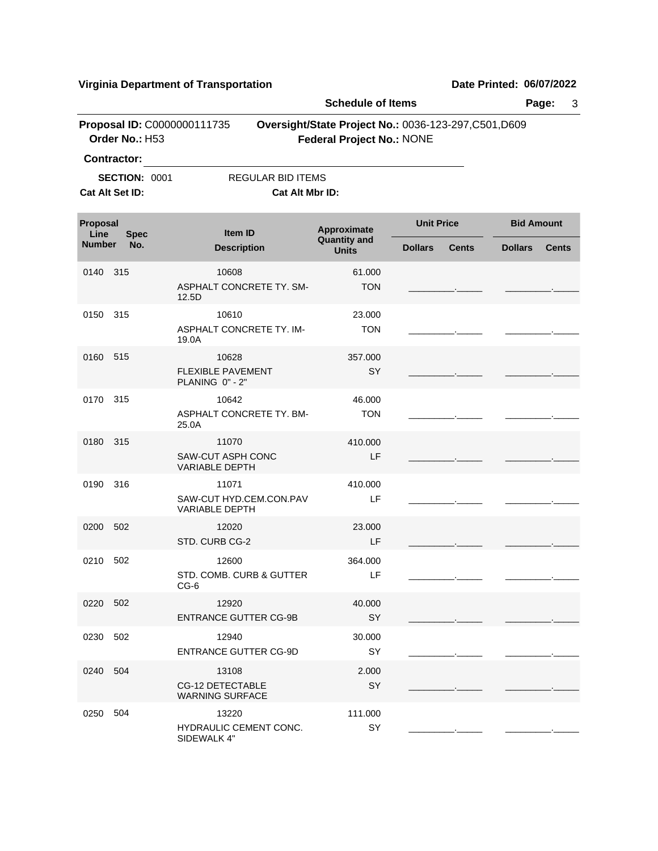|                  |                                               |                                                            | <b>Schedule of Items</b>            |                                                       | Page:<br>3                     |
|------------------|-----------------------------------------------|------------------------------------------------------------|-------------------------------------|-------------------------------------------------------|--------------------------------|
|                  | Proposal ID: C0000000111735<br>Order No.: H53 |                                                            | <b>Federal Project No.: NONE</b>    | Oversight/State Project No.: 0036-123-297, C501, D609 |                                |
|                  | <b>Contractor:</b>                            |                                                            |                                     |                                                       |                                |
|                  | <b>SECTION: 0001</b><br>Cat Alt Set ID:       | <b>REGULAR BID ITEMS</b><br>Cat Alt Mbr ID:                |                                     |                                                       |                                |
| Proposal<br>Line |                                               | <b>Item ID</b>                                             | Approximate                         | <b>Unit Price</b>                                     | <b>Bid Amount</b>              |
| <b>Number</b>    | <b>Spec</b><br>No.                            | <b>Description</b>                                         | <b>Quantity and</b><br><b>Units</b> | <b>Dollars</b><br><b>Cents</b>                        | <b>Dollars</b><br><b>Cents</b> |
| 0140             | 315                                           | 10608<br>ASPHALT CONCRETE TY. SM-<br>12.5D                 | 61.000<br><b>TON</b>                |                                                       |                                |
| 0150             | 315                                           | 10610<br>ASPHALT CONCRETE TY. IM-<br>19.0A                 | 23.000<br><b>TON</b>                |                                                       |                                |
| 0160 515         |                                               | 10628<br><b>FLEXIBLE PAVEMENT</b><br>PLANING 0" - 2"       | 357.000<br>SY                       |                                                       |                                |
| 0170             | 315                                           | 10642<br>ASPHALT CONCRETE TY, BM-<br>25.0A                 | 46.000<br><b>TON</b>                |                                                       |                                |
| 0180             | 315                                           | 11070<br>SAW-CUT ASPH CONC<br><b>VARIABLE DEPTH</b>        | 410.000<br>LF                       |                                                       |                                |
| 0190             | 316                                           | 11071<br>SAW-CUT HYD.CEM.CON.PAV<br><b>VARIABLE DEPTH</b>  | 410.000<br>LF                       |                                                       |                                |
| 0200             | 502                                           | 12020<br>STD. CURB CG-2                                    | 23.000<br>LF                        |                                                       |                                |
| 0210 502         |                                               | 12600<br>STD. COMB. CURB & GUTTER<br>CG-6                  | 364.000<br>LF                       |                                                       |                                |
| 0220 502         |                                               | 12920<br><b>ENTRANCE GUTTER CG-9B</b>                      | 40.000<br>SY                        |                                                       |                                |
| 0230             | 502                                           | 12940<br><b>ENTRANCE GUTTER CG-9D</b>                      | 30.000<br><b>SY</b>                 |                                                       |                                |
| 0240             | 504                                           | 13108<br><b>CG-12 DETECTABLE</b><br><b>WARNING SURFACE</b> | 2.000<br>SY                         |                                                       |                                |
| 0250 504         |                                               | 13220<br>HYDRAULIC CEMENT CONC.<br>SIDEWALK 4"             | 111.000<br>SY                       |                                                       |                                |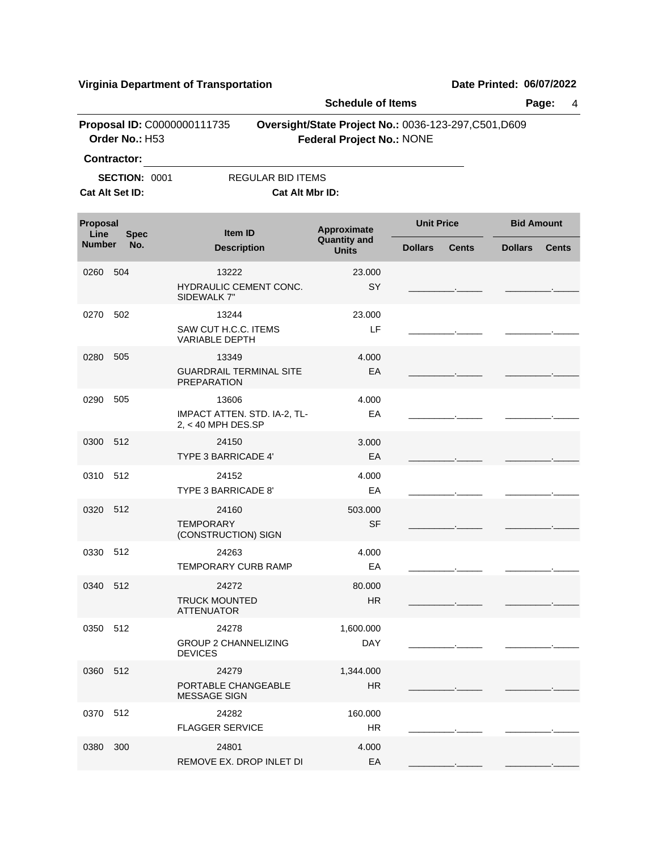|                                               |                      |                                                      | <b>Schedule of Items</b>                                                                  |                   |              |                   | Page:<br>4   |
|-----------------------------------------------|----------------------|------------------------------------------------------|-------------------------------------------------------------------------------------------|-------------------|--------------|-------------------|--------------|
| Proposal ID: C0000000111735<br>Order No.: H53 |                      |                                                      | Oversight/State Project No.: 0036-123-297, C501, D609<br><b>Federal Project No.: NONE</b> |                   |              |                   |              |
|                                               | <b>Contractor:</b>   |                                                      |                                                                                           |                   |              |                   |              |
|                                               | <b>SECTION: 0001</b> | <b>REGULAR BID ITEMS</b>                             |                                                                                           |                   |              |                   |              |
|                                               | Cat Alt Set ID:      | <b>Cat Alt Mbr ID:</b>                               |                                                                                           |                   |              |                   |              |
| Proposal<br>Line                              | <b>Spec</b>          | <b>Item ID</b>                                       | Approximate                                                                               | <b>Unit Price</b> |              | <b>Bid Amount</b> |              |
| <b>Number</b>                                 | No.                  | <b>Description</b>                                   | <b>Quantity and</b><br><b>Units</b>                                                       | <b>Dollars</b>    | <b>Cents</b> | <b>Dollars</b>    | <b>Cents</b> |
| 0260                                          | 504                  | 13222                                                | 23.000                                                                                    |                   |              |                   |              |
|                                               |                      | HYDRAULIC CEMENT CONC.<br>SIDEWALK 7"                | SY                                                                                        |                   |              |                   |              |
| 0270                                          | 502                  | 13244                                                | 23,000                                                                                    |                   |              |                   |              |
|                                               |                      | SAW CUT H.C.C. ITEMS<br><b>VARIABLE DEPTH</b>        | LF                                                                                        |                   |              |                   |              |
| 0280                                          | 505                  | 13349                                                | 4.000                                                                                     |                   |              |                   |              |
|                                               |                      | <b>GUARDRAIL TERMINAL SITE</b><br><b>PREPARATION</b> | EA                                                                                        |                   |              |                   |              |
| 0290                                          | 505                  | 13606                                                | 4.000                                                                                     |                   |              |                   |              |
|                                               |                      | IMPACT ATTEN. STD. IA-2, TL-<br>$2, < 40$ MPH DES.SP | EA                                                                                        |                   |              |                   |              |
| 0300 512                                      |                      | 24150                                                | 3.000                                                                                     |                   |              |                   |              |
|                                               |                      | <b>TYPE 3 BARRICADE 4'</b>                           | EA                                                                                        |                   |              |                   |              |
| 0310                                          | 512                  | 24152<br>TYPE 3 BARRICADE 8'                         | 4.000<br>EA                                                                               |                   |              |                   |              |
|                                               | -512                 | 24160                                                |                                                                                           |                   |              |                   |              |
| 0320                                          |                      | <b>TEMPORARY</b><br>(CONSTRUCTION) SIGN              | 503.000<br><b>SF</b>                                                                      |                   |              |                   |              |
| 0330                                          | 512                  | 24263                                                | 4.000                                                                                     |                   |              |                   |              |
|                                               |                      | <b>TEMPORARY CURB RAMP</b>                           | EA                                                                                        |                   |              |                   |              |
| 0340 512                                      |                      | 24272                                                | 80.000                                                                                    |                   |              |                   |              |
|                                               |                      | <b>TRUCK MOUNTED</b><br><b>ATTENUATOR</b>            | <b>HR</b>                                                                                 |                   |              |                   |              |
| 0350 512                                      |                      | 24278                                                | 1,600.000                                                                                 |                   |              |                   |              |
|                                               |                      | <b>GROUP 2 CHANNELIZING</b><br><b>DEVICES</b>        | <b>DAY</b>                                                                                |                   |              |                   |              |
| 0360 512                                      |                      | 24279                                                | 1,344.000                                                                                 |                   |              |                   |              |
|                                               |                      | PORTABLE CHANGEABLE<br><b>MESSAGE SIGN</b>           | <b>HR</b>                                                                                 |                   |              |                   |              |
| 0370 512                                      |                      | 24282                                                | 160.000                                                                                   |                   |              |                   |              |
|                                               |                      | <b>FLAGGER SERVICE</b>                               | HR                                                                                        |                   |              |                   |              |
| 0380 300                                      |                      | 24801                                                | 4.000                                                                                     |                   |              |                   |              |
|                                               |                      | REMOVE EX. DROP INLET DI                             | EA                                                                                        |                   |              |                   |              |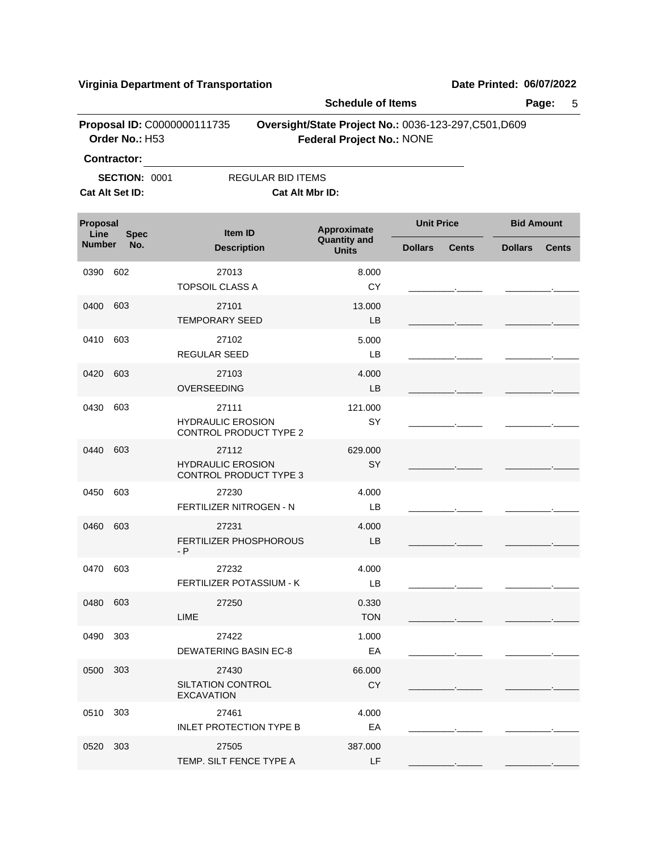|                  |                                                                                                                                            |                                                             | <b>Schedule of Items</b>            |                                | Page:<br>5                     |  |
|------------------|--------------------------------------------------------------------------------------------------------------------------------------------|-------------------------------------------------------------|-------------------------------------|--------------------------------|--------------------------------|--|
|                  | Proposal ID: C0000000111735<br>Oversight/State Project No.: 0036-123-297, C501, D609<br>Order No.: H53<br><b>Federal Project No.: NONE</b> |                                                             |                                     |                                |                                |  |
|                  | <b>Contractor:</b><br>SECTION: 0001                                                                                                        | <b>REGULAR BID ITEMS</b>                                    |                                     |                                |                                |  |
|                  | Cat Alt Set ID:                                                                                                                            | Cat Alt Mbr ID:                                             |                                     |                                |                                |  |
| Proposal<br>Line | <b>Spec</b>                                                                                                                                | Item ID                                                     | Approximate                         | <b>Unit Price</b>              | <b>Bid Amount</b>              |  |
| <b>Number</b>    | No.                                                                                                                                        | <b>Description</b>                                          | <b>Quantity and</b><br><b>Units</b> | <b>Dollars</b><br><b>Cents</b> | <b>Dollars</b><br><b>Cents</b> |  |
| 0390             | 602                                                                                                                                        | 27013<br><b>TOPSOIL CLASS A</b>                             | 8.000<br>CY                         |                                |                                |  |
| 0400             | 603                                                                                                                                        | 27101<br><b>TEMPORARY SEED</b>                              | 13.000<br>LB                        |                                |                                |  |
| 0410             | 603                                                                                                                                        | 27102<br>REGULAR SEED                                       | 5.000<br>LB                         |                                |                                |  |
| 0420             | 603                                                                                                                                        | 27103<br>OVERSEEDING                                        | 4.000<br>LB                         |                                |                                |  |
| 0430             | 603                                                                                                                                        | 27111<br><b>HYDRAULIC EROSION</b><br>CONTROL PRODUCT TYPE 2 | 121.000<br>SY                       |                                |                                |  |
| 0440             | 603                                                                                                                                        | 27112<br><b>HYDRAULIC EROSION</b><br>CONTROL PRODUCT TYPE 3 | 629.000<br>SY                       |                                |                                |  |
| 0450             | 603                                                                                                                                        | 27230<br>FERTILIZER NITROGEN - N                            | 4.000<br>LВ                         |                                |                                |  |
| 0460             | 603                                                                                                                                        | 27231<br>FERTILIZER PHOSPHOROUS<br>$- P$                    | 4.000<br>LB                         |                                |                                |  |
| 0470             | 603                                                                                                                                        | 27232<br>FERTILIZER POTASSIUM - K                           | 4.000<br>LB                         |                                |                                |  |
| 0480 603         |                                                                                                                                            | 27250<br><b>LIME</b>                                        | 0.330<br><b>TON</b>                 |                                |                                |  |
| 0490             | 303                                                                                                                                        | 27422<br><b>DEWATERING BASIN EC-8</b>                       | 1.000<br>EA                         |                                |                                |  |
| 0500             | 303                                                                                                                                        | 27430<br>SILTATION CONTROL<br><b>EXCAVATION</b>             | 66.000<br><b>CY</b>                 |                                |                                |  |
| 0510             | 303                                                                                                                                        | 27461<br><b>INLET PROTECTION TYPE B</b>                     | 4.000<br>EA                         |                                |                                |  |
| 0520             | 303                                                                                                                                        | 27505<br>TEMP. SILT FENCE TYPE A                            | 387.000<br>LF                       |                                |                                |  |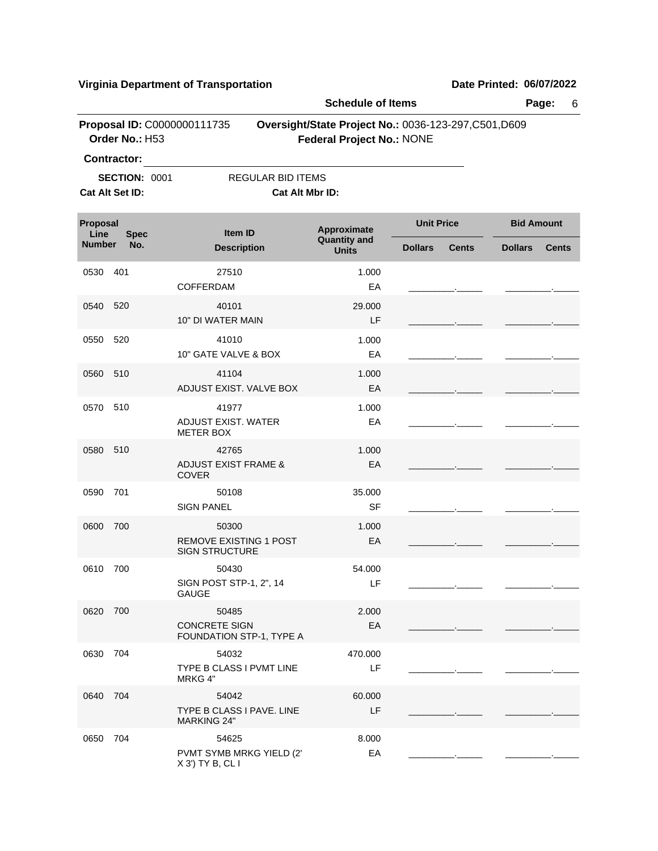|                  |                                               |                                                                 | <b>Schedule of Items</b>            |                                                       | Page:<br>6                     |
|------------------|-----------------------------------------------|-----------------------------------------------------------------|-------------------------------------|-------------------------------------------------------|--------------------------------|
|                  | Proposal ID: C0000000111735<br>Order No.: H53 |                                                                 | <b>Federal Project No.: NONE</b>    | Oversight/State Project No.: 0036-123-297, C501, D609 |                                |
|                  | <b>Contractor:</b>                            |                                                                 |                                     |                                                       |                                |
|                  | <b>SECTION: 0001</b>                          | <b>REGULAR BID ITEMS</b>                                        |                                     |                                                       |                                |
|                  | Cat Alt Set ID:                               | Cat Alt Mbr ID:                                                 |                                     |                                                       |                                |
| Proposal<br>Line | <b>Spec</b>                                   | <b>Item ID</b>                                                  | Approximate                         | <b>Unit Price</b>                                     | <b>Bid Amount</b>              |
| <b>Number</b>    | No.                                           | <b>Description</b>                                              | <b>Quantity and</b><br><b>Units</b> | <b>Dollars</b><br><b>Cents</b>                        | <b>Dollars</b><br><b>Cents</b> |
| 0530             | 401                                           | 27510<br><b>COFFERDAM</b>                                       | 1.000<br>EA                         |                                                       |                                |
| 0540             | 520                                           | 40101<br>10" DI WATER MAIN                                      | 29.000<br>LF                        |                                                       |                                |
| 0550             | 520                                           | 41010<br>10" GATE VALVE & BOX                                   | 1.000<br>EA                         |                                                       |                                |
| 0560             | 510                                           | 41104<br>ADJUST EXIST. VALVE BOX                                | 1.000<br>EA                         |                                                       |                                |
| 0570             | 510                                           | 41977<br>ADJUST EXIST. WATER<br><b>METER BOX</b>                | 1.000<br>EA                         |                                                       |                                |
| 0580             | 510                                           | 42765<br><b>ADJUST EXIST FRAME &amp;</b><br><b>COVER</b>        | 1.000<br>EA                         |                                                       |                                |
| 0590             | 701                                           | 50108<br><b>SIGN PANEL</b>                                      | 35.000<br><b>SF</b>                 |                                                       |                                |
| 0600             | 700                                           | 50300<br><b>REMOVE EXISTING 1 POST</b><br><b>SIGN STRUCTURE</b> | 1.000<br>EA                         |                                                       |                                |
| 0610             | 700                                           | 50430<br>SIGN POST STP-1, 2", 14<br><b>GAUGE</b>                | 54.000<br>LF                        |                                                       |                                |
| 0620 700         |                                               | 50485<br><b>CONCRETE SIGN</b><br>FOUNDATION STP-1, TYPE A       | 2.000<br>EA                         |                                                       |                                |
| 0630             | 704                                           | 54032<br>TYPE B CLASS I PVMT LINE<br>MRKG 4"                    | 470.000<br>LF                       |                                                       |                                |
| 0640             | 704                                           | 54042<br>TYPE B CLASS I PAVE. LINE<br><b>MARKING 24"</b>        | 60.000<br>LF                        |                                                       |                                |
| 0650             | 704                                           | 54625<br>PVMT SYMB MRKG YIELD (2'<br>X 3') TY B, CL I           | 8.000<br>EA                         |                                                       |                                |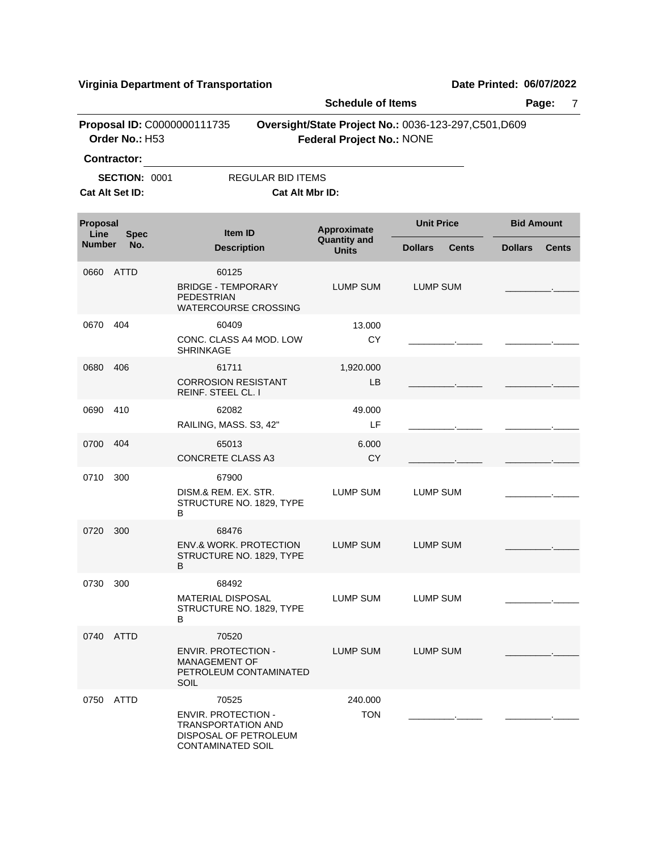|                  |                                         |                                                                                                                       | <b>Schedule of Items</b>            |                                                       | Page:<br>7                     |
|------------------|-----------------------------------------|-----------------------------------------------------------------------------------------------------------------------|-------------------------------------|-------------------------------------------------------|--------------------------------|
|                  | Order No.: H53<br><b>Contractor:</b>    | Proposal ID: C0000000111735                                                                                           | <b>Federal Project No.: NONE</b>    | Oversight/State Project No.: 0036-123-297, C501, D609 |                                |
|                  | <b>SECTION: 0001</b><br>Cat Alt Set ID: | <b>REGULAR BID ITEMS</b><br>Cat Alt Mbr ID:                                                                           |                                     |                                                       |                                |
| Proposal<br>Line | <b>Spec</b>                             | <b>Item ID</b>                                                                                                        | Approximate                         | <b>Unit Price</b>                                     | <b>Bid Amount</b>              |
| <b>Number</b>    | No.                                     | <b>Description</b>                                                                                                    | <b>Quantity and</b><br><b>Units</b> | <b>Dollars</b><br><b>Cents</b>                        | <b>Cents</b><br><b>Dollars</b> |
| 0660             | ATTD                                    | 60125<br><b>BRIDGE - TEMPORARY</b><br><b>PEDESTRIAN</b><br><b>WATERCOURSE CROSSING</b>                                | LUMP SUM                            | LUMP SUM                                              |                                |
| 0670             | 404                                     | 60409<br>CONC. CLASS A4 MOD. LOW<br><b>SHRINKAGE</b>                                                                  | 13.000<br><b>CY</b>                 |                                                       |                                |
| 0680             | 406                                     | 61711<br><b>CORROSION RESISTANT</b><br><b>REINF. STEEL CL. I</b>                                                      | 1,920.000<br>LB                     |                                                       |                                |
| 0690             | 410                                     | 62082<br>RAILING, MASS. S3, 42"                                                                                       | 49.000<br>LF                        |                                                       |                                |
| 0700             | 404                                     | 65013<br><b>CONCRETE CLASS A3</b>                                                                                     | 6.000<br>CY                         |                                                       |                                |
| 0710             | 300                                     | 67900<br>DISM.& REM. EX. STR.<br>STRUCTURE NO. 1829, TYPE<br>В                                                        | <b>LUMP SUM</b>                     | <b>LUMP SUM</b>                                       |                                |
| 0720             | 300                                     | 68476<br><b>ENV.&amp; WORK, PROTECTION</b><br>STRUCTURE NO. 1829, TYPE<br>В                                           | <b>LUMP SUM</b>                     | <b>LUMP SUM</b>                                       |                                |
| 0730             | 300                                     | 68492<br><b>MATERIAL DISPOSAL</b><br>STRUCTURE NO. 1829, TYPE<br>В                                                    | LUMP SUM                            | LUMP SUM                                              |                                |
|                  | 0740 ATTD                               | 70520<br><b>ENVIR. PROTECTION -</b><br><b>MANAGEMENT OF</b><br>PETROLEUM CONTAMINATED<br>SOIL                         | <b>LUMP SUM</b>                     | <b>LUMP SUM</b>                                       |                                |
|                  | 0750 ATTD                               | 70525<br><b>ENVIR. PROTECTION -</b><br><b>TRANSPORTATION AND</b><br>DISPOSAL OF PETROLEUM<br><b>CONTAMINATED SOIL</b> | 240.000<br><b>TON</b>               |                                                       |                                |